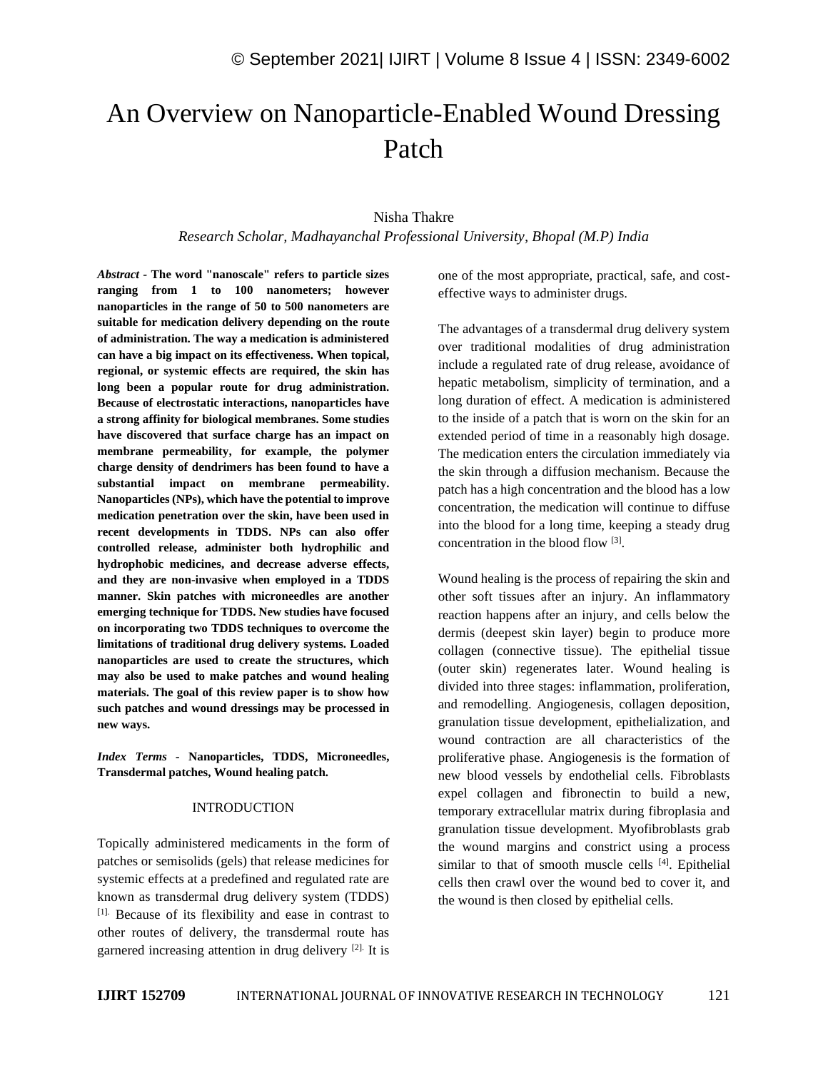# An Overview on Nanoparticle-Enabled Wound Dressing Patch

# Nisha Thakre

*Research Scholar, Madhayanchal Professional University, Bhopal (M.P) India*

*Abstract -* **The word "nanoscale" refers to particle sizes ranging from 1 to 100 nanometers; however nanoparticles in the range of 50 to 500 nanometers are suitable for medication delivery depending on the route of administration. The way a medication is administered can have a big impact on its effectiveness. When topical, regional, or systemic effects are required, the skin has long been a popular route for drug administration. Because of electrostatic interactions, nanoparticles have a strong affinity for biological membranes. Some studies have discovered that surface charge has an impact on membrane permeability, for example, the polymer charge density of dendrimers has been found to have a substantial impact on membrane permeability. Nanoparticles (NPs), which have the potential to improve medication penetration over the skin, have been used in recent developments in TDDS. NPs can also offer controlled release, administer both hydrophilic and hydrophobic medicines, and decrease adverse effects, and they are non-invasive when employed in a TDDS manner. Skin patches with microneedles are another emerging technique for TDDS. New studies have focused on incorporating two TDDS techniques to overcome the limitations of traditional drug delivery systems. Loaded nanoparticles are used to create the structures, which may also be used to make patches and wound healing materials. The goal of this review paper is to show how such patches and wound dressings may be processed in new ways.**

*Index Terms -* **Nanoparticles, TDDS, Microneedles, Transdermal patches, Wound healing patch.**

#### INTRODUCTION

Topically administered medicaments in the form of patches or semisolids (gels) that release medicines for systemic effects at a predefined and regulated rate are known as transdermal drug delivery system (TDDS) [1]. Because of its flexibility and ease in contrast to other routes of delivery, the transdermal route has garnered increasing attention in drug delivery [2]. It is one of the most appropriate, practical, safe, and costeffective ways to administer drugs.

The advantages of a transdermal drug delivery system over traditional modalities of drug administration include a regulated rate of drug release, avoidance of hepatic metabolism, simplicity of termination, and a long duration of effect. A medication is administered to the inside of a patch that is worn on the skin for an extended period of time in a reasonably high dosage. The medication enters the circulation immediately via the skin through a diffusion mechanism. Because the patch has a high concentration and the blood has a low concentration, the medication will continue to diffuse into the blood for a long time, keeping a steady drug concentration in the blood flow [3].

Wound healing is the process of repairing the skin and other soft tissues after an injury. An inflammatory reaction happens after an injury, and cells below the dermis (deepest skin layer) begin to produce more collagen (connective tissue). The epithelial tissue (outer skin) regenerates later. Wound healing is divided into three stages: inflammation, proliferation, and remodelling. Angiogenesis, collagen deposition, granulation tissue development, epithelialization, and wound contraction are all characteristics of the proliferative phase. Angiogenesis is the formation of new blood vessels by endothelial cells. Fibroblasts expel collagen and fibronectin to build a new, temporary extracellular matrix during fibroplasia and granulation tissue development. Myofibroblasts grab the wound margins and constrict using a process similar to that of smooth muscle cells [4]. Epithelial cells then crawl over the wound bed to cover it, and the wound is then closed by epithelial cells.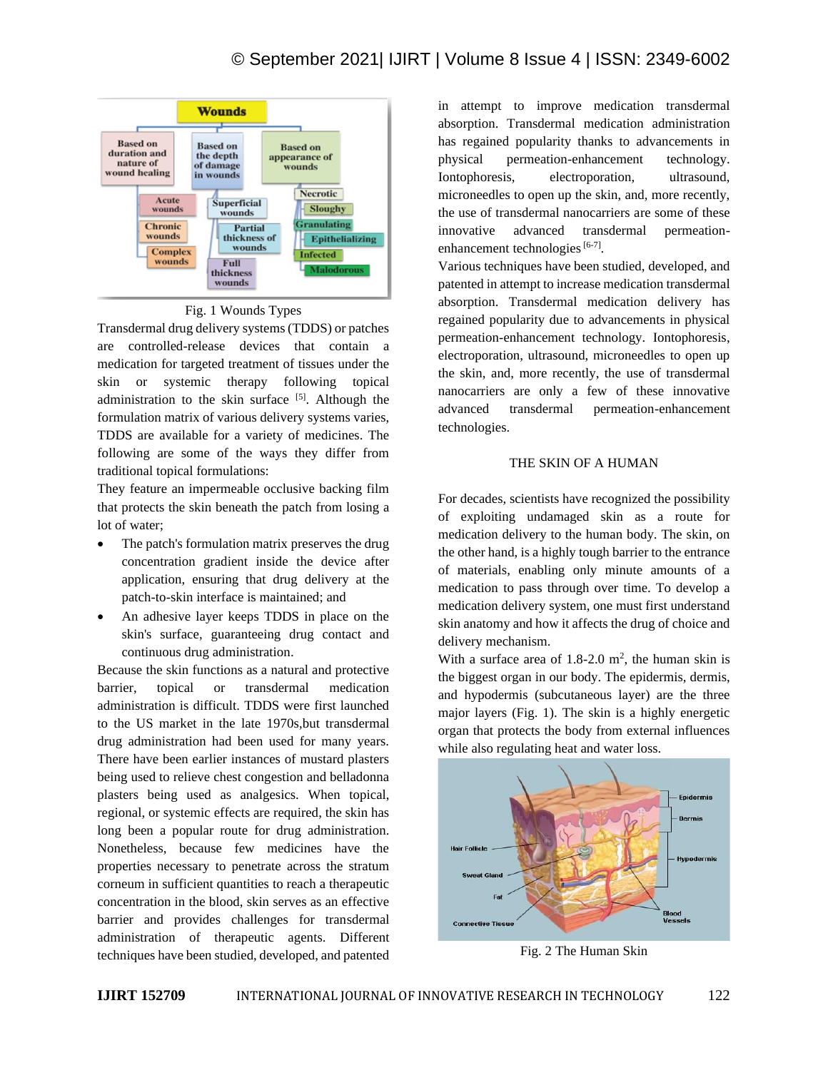

Fig. 1 Wounds Types

Transdermal drug delivery systems (TDDS) or patches are controlled-release devices that contain a medication for targeted treatment of tissues under the skin or systemic therapy following topical administration to the skin surface [5]. Although the formulation matrix of various delivery systems varies, TDDS are available for a variety of medicines. The following are some of the ways they differ from traditional topical formulations:

They feature an impermeable occlusive backing film that protects the skin beneath the patch from losing a lot of water;

- The patch's formulation matrix preserves the drug concentration gradient inside the device after application, ensuring that drug delivery at the patch-to-skin interface is maintained; and
- An adhesive layer keeps TDDS in place on the skin's surface, guaranteeing drug contact and continuous drug administration.

Because the skin functions as a natural and protective barrier, topical or transdermal medication administration is difficult. TDDS were first launched to the US market in the late 1970s,but transdermal drug administration had been used for many years. There have been earlier instances of mustard plasters being used to relieve chest congestion and belladonna plasters being used as analgesics. When topical, regional, or systemic effects are required, the skin has long been a popular route for drug administration. Nonetheless, because few medicines have the properties necessary to penetrate across the stratum corneum in sufficient quantities to reach a therapeutic concentration in the blood, skin serves as an effective barrier and provides challenges for transdermal administration of therapeutic agents. Different techniques have been studied, developed, and patented in attempt to improve medication transdermal absorption. Transdermal medication administration has regained popularity thanks to advancements in physical permeation-enhancement technology. Iontophoresis, electroporation, ultrasound, microneedles to open up the skin, and, more recently, the use of transdermal nanocarriers are some of these innovative advanced transdermal permeationenhancement technologies<sup>[6-7]</sup>.

Various techniques have been studied, developed, and patented in attempt to increase medication transdermal absorption. Transdermal medication delivery has regained popularity due to advancements in physical permeation-enhancement technology. Iontophoresis, electroporation, ultrasound, microneedles to open up the skin, and, more recently, the use of transdermal nanocarriers are only a few of these innovative advanced transdermal permeation-enhancement technologies.

# THE SKIN OF A HUMAN

For decades, scientists have recognized the possibility of exploiting undamaged skin as a route for medication delivery to the human body. The skin, on the other hand, is a highly tough barrier to the entrance of materials, enabling only minute amounts of a medication to pass through over time. To develop a medication delivery system, one must first understand skin anatomy and how it affects the drug of choice and delivery mechanism.

With a surface area of  $1.8-2.0$  m<sup>2</sup>, the human skin is the biggest organ in our body. The epidermis, dermis, and hypodermis (subcutaneous layer) are the three major layers (Fig. 1). The skin is a highly energetic organ that protects the body from external influences while also regulating heat and water loss.



Fig. 2 The Human Skin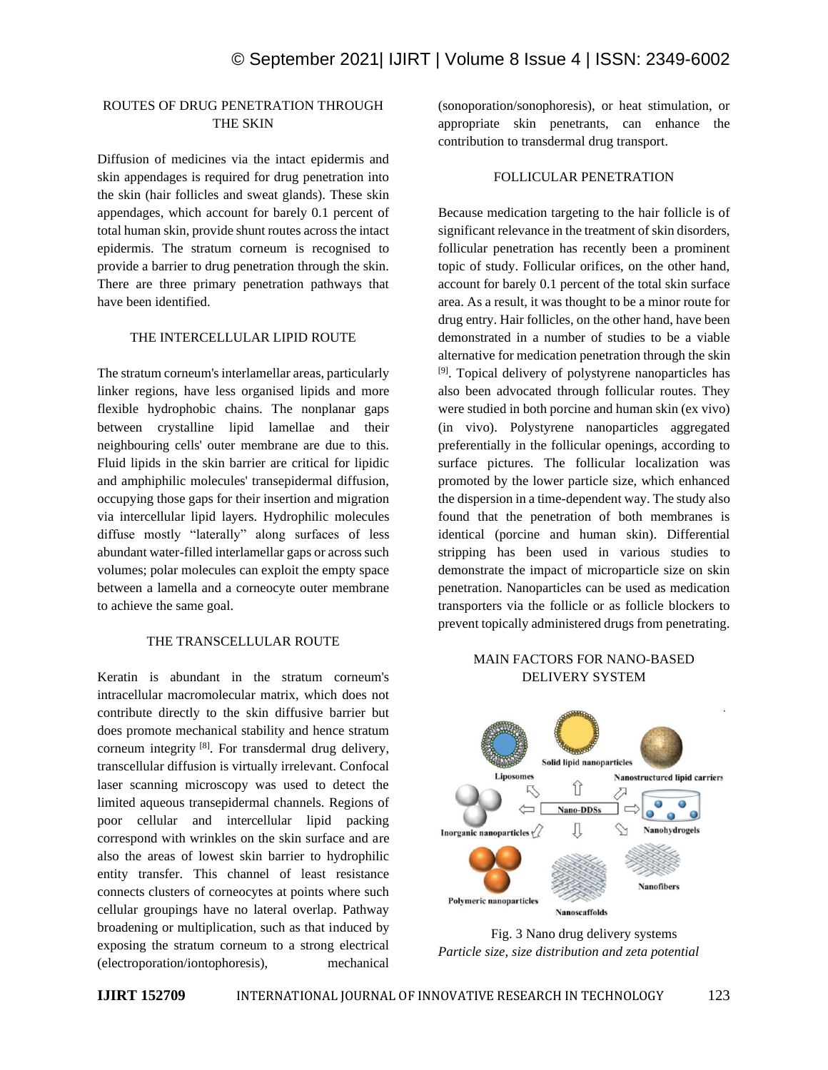# ROUTES OF DRUG PENETRATION THROUGH THE SKIN

Diffusion of medicines via the intact epidermis and skin appendages is required for drug penetration into the skin (hair follicles and sweat glands). These skin appendages, which account for barely 0.1 percent of total human skin, provide shunt routes across the intact epidermis. The stratum corneum is recognised to provide a barrier to drug penetration through the skin. There are three primary penetration pathways that have been identified.

## THE INTERCELLULAR LIPID ROUTE

The stratum corneum's interlamellar areas, particularly linker regions, have less organised lipids and more flexible hydrophobic chains. The nonplanar gaps between crystalline lipid lamellae and their neighbouring cells' outer membrane are due to this. Fluid lipids in the skin barrier are critical for lipidic and amphiphilic molecules' transepidermal diffusion, occupying those gaps for their insertion and migration via intercellular lipid layers. Hydrophilic molecules diffuse mostly "laterally" along surfaces of less abundant water-filled interlamellar gaps or across such volumes; polar molecules can exploit the empty space between a lamella and a corneocyte outer membrane to achieve the same goal.

#### THE TRANSCELLULAR ROUTE

Keratin is abundant in the stratum corneum's intracellular macromolecular matrix, which does not contribute directly to the skin diffusive barrier but does promote mechanical stability and hence stratum corneum integrity  $[8]$ . For transdermal drug delivery, transcellular diffusion is virtually irrelevant. Confocal laser scanning microscopy was used to detect the limited aqueous transepidermal channels. Regions of poor cellular and intercellular lipid packing correspond with wrinkles on the skin surface and are also the areas of lowest skin barrier to hydrophilic entity transfer. This channel of least resistance connects clusters of corneocytes at points where such cellular groupings have no lateral overlap. Pathway broadening or multiplication, such as that induced by exposing the stratum corneum to a strong electrical (electroporation/iontophoresis), mechanical (sonoporation/sonophoresis), or heat stimulation, or appropriate skin penetrants, can enhance the contribution to transdermal drug transport.

#### FOLLICULAR PENETRATION

Because medication targeting to the hair follicle is of significant relevance in the treatment of skin disorders, follicular penetration has recently been a prominent topic of study. Follicular orifices, on the other hand, account for barely 0.1 percent of the total skin surface area. As a result, it was thought to be a minor route for drug entry. Hair follicles, on the other hand, have been demonstrated in a number of studies to be a viable alternative for medication penetration through the skin <sup>[9]</sup>. Topical delivery of polystyrene nanoparticles has also been advocated through follicular routes. They were studied in both porcine and human skin (ex vivo) (in vivo). Polystyrene nanoparticles aggregated preferentially in the follicular openings, according to surface pictures. The follicular localization was promoted by the lower particle size, which enhanced the dispersion in a time-dependent way. The study also found that the penetration of both membranes is identical (porcine and human skin). Differential stripping has been used in various studies to demonstrate the impact of microparticle size on skin penetration. Nanoparticles can be used as medication transporters via the follicle or as follicle blockers to prevent topically administered drugs from penetrating.

# MAIN FACTORS FOR NANO-BASED DELIVERY SYSTEM



Fig. 3 Nano drug delivery systems *Particle size, size distribution and zeta potential*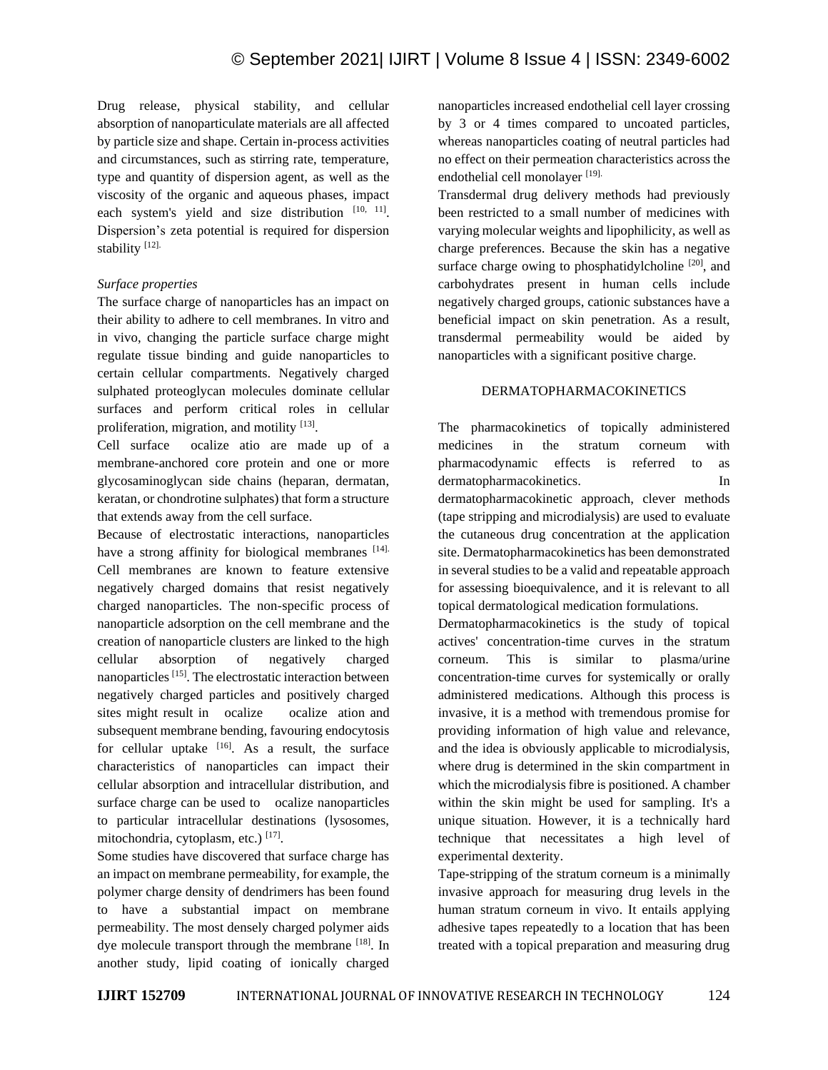Drug release, physical stability, and cellular absorption of nanoparticulate materials are all affected by particle size and shape. Certain in-process activities and circumstances, such as stirring rate, temperature, type and quantity of dispersion agent, as well as the viscosity of the organic and aqueous phases, impact each system's yield and size distribution  $[10, 11]$ . Dispersion's zeta potential is required for dispersion stability<sup>[12]</sup>.

# *Surface properties*

The surface charge of nanoparticles has an impact on their ability to adhere to cell membranes. In vitro and in vivo, changing the particle surface charge might regulate tissue binding and guide nanoparticles to certain cellular compartments. Negatively charged sulphated proteoglycan molecules dominate cellular surfaces and perform critical roles in cellular proliferation, migration, and motility [13].

Cell surface ocalize atio are made up of a membrane-anchored core protein and one or more glycosaminoglycan side chains (heparan, dermatan, keratan, or chondrotine sulphates) that form a structure that extends away from the cell surface.

Because of electrostatic interactions, nanoparticles have a strong affinity for biological membranes [14]. Cell membranes are known to feature extensive negatively charged domains that resist negatively charged nanoparticles. The non-specific process of nanoparticle adsorption on the cell membrane and the creation of nanoparticle clusters are linked to the high cellular absorption of negatively charged nanoparticles [15]. The electrostatic interaction between negatively charged particles and positively charged sites might result in ocalize ocalize ation and subsequent membrane bending, favouring endocytosis for cellular uptake  $[16]$ . As a result, the surface characteristics of nanoparticles can impact their cellular absorption and intracellular distribution, and surface charge can be used to ocalize nanoparticles to particular intracellular destinations (lysosomes, mitochondria, cytoplasm, etc.) [17].

Some studies have discovered that surface charge has an impact on membrane permeability, for example, the polymer charge density of dendrimers has been found to have a substantial impact on membrane permeability. The most densely charged polymer aids dye molecule transport through the membrane [18]. In another study, lipid coating of ionically charged

nanoparticles increased endothelial cell layer crossing by 3 or 4 times compared to uncoated particles, whereas nanoparticles coating of neutral particles had no effect on their permeation characteristics across the endothelial cell monolayer [19].

Transdermal drug delivery methods had previously been restricted to a small number of medicines with varying molecular weights and lipophilicity, as well as charge preferences. Because the skin has a negative surface charge owing to phosphatidylcholine<sup>[20]</sup>, and carbohydrates present in human cells include negatively charged groups, cationic substances have a beneficial impact on skin penetration. As a result, transdermal permeability would be aided by nanoparticles with a significant positive charge.

# DERMATOPHARMACOKINETICS

The pharmacokinetics of topically administered medicines in the stratum corneum with pharmacodynamic effects is referred to as dermatopharmacokinetics. In dermatopharmacokinetic approach, clever methods (tape stripping and microdialysis) are used to evaluate the cutaneous drug concentration at the application site. Dermatopharmacokinetics has been demonstrated in several studies to be a valid and repeatable approach for assessing bioequivalence, and it is relevant to all topical dermatological medication formulations.

Dermatopharmacokinetics is the study of topical actives' concentration-time curves in the stratum corneum. This is similar to plasma/urine concentration-time curves for systemically or orally administered medications. Although this process is invasive, it is a method with tremendous promise for providing information of high value and relevance, and the idea is obviously applicable to microdialysis, where drug is determined in the skin compartment in which the microdialysis fibre is positioned. A chamber within the skin might be used for sampling. It's a unique situation. However, it is a technically hard technique that necessitates a high level of experimental dexterity.

Tape-stripping of the stratum corneum is a minimally invasive approach for measuring drug levels in the human stratum corneum in vivo. It entails applying adhesive tapes repeatedly to a location that has been treated with a topical preparation and measuring drug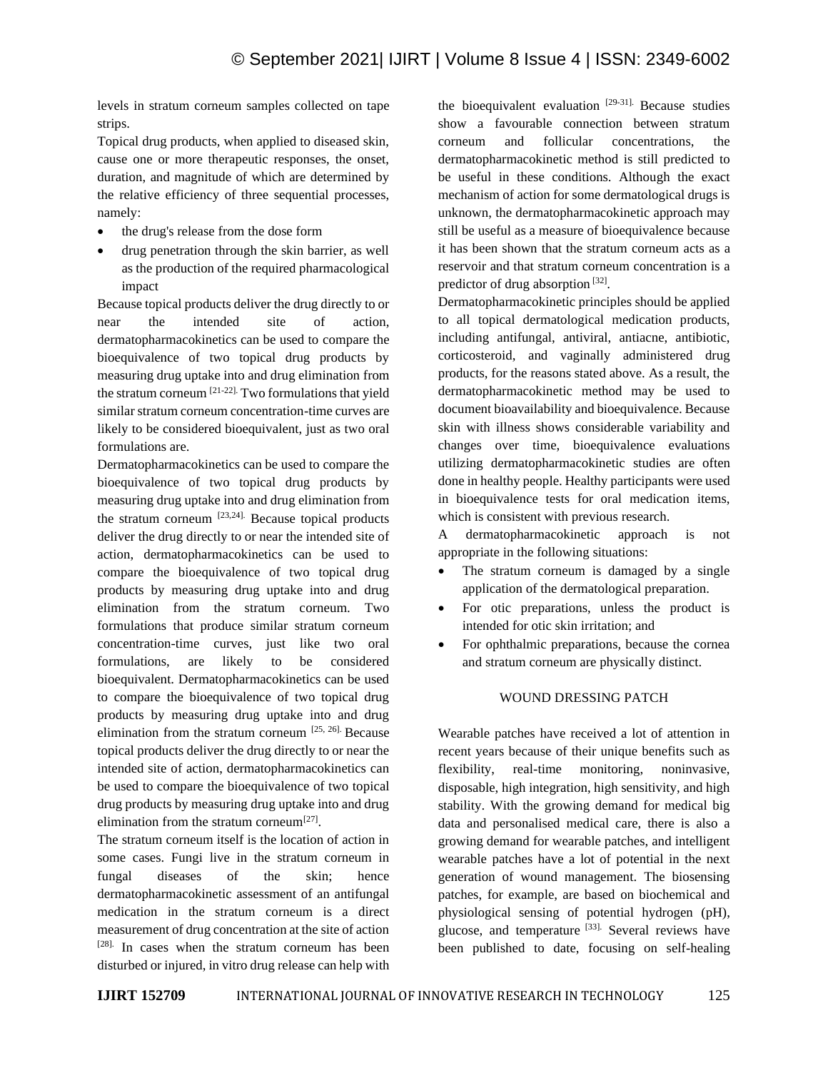levels in stratum corneum samples collected on tape strips.

Topical drug products, when applied to diseased skin, cause one or more therapeutic responses, the onset, duration, and magnitude of which are determined by the relative efficiency of three sequential processes, namely:

- the drug's release from the dose form
- drug penetration through the skin barrier, as well as the production of the required pharmacological impact

Because topical products deliver the drug directly to or near the intended site of action, dermatopharmacokinetics can be used to compare the bioequivalence of two topical drug products by measuring drug uptake into and drug elimination from the stratum corneum [21-22]. Two formulations that yield similar stratum corneum concentration-time curves are likely to be considered bioequivalent, just as two oral formulations are.

Dermatopharmacokinetics can be used to compare the bioequivalence of two topical drug products by measuring drug uptake into and drug elimination from the stratum corneum  $[23,24]$ . Because topical products deliver the drug directly to or near the intended site of action, dermatopharmacokinetics can be used to compare the bioequivalence of two topical drug products by measuring drug uptake into and drug elimination from the stratum corneum. Two formulations that produce similar stratum corneum concentration-time curves, just like two oral formulations, are likely to be considered bioequivalent. Dermatopharmacokinetics can be used to compare the bioequivalence of two topical drug products by measuring drug uptake into and drug elimination from the stratum corneum [25, 26]. Because topical products deliver the drug directly to or near the intended site of action, dermatopharmacokinetics can be used to compare the bioequivalence of two topical drug products by measuring drug uptake into and drug elimination from the stratum corneum $^{[27]}$ .

The stratum corneum itself is the location of action in some cases. Fungi live in the stratum corneum in fungal diseases of the skin; hence dermatopharmacokinetic assessment of an antifungal medication in the stratum corneum is a direct measurement of drug concentration at the site of action [28]. In cases when the stratum corneum has been disturbed or injured, in vitro drug release can help with the bioequivalent evaluation  $[29-31]$ . Because studies show a favourable connection between stratum corneum and follicular concentrations, the dermatopharmacokinetic method is still predicted to be useful in these conditions. Although the exact mechanism of action for some dermatological drugs is unknown, the dermatopharmacokinetic approach may still be useful as a measure of bioequivalence because it has been shown that the stratum corneum acts as a reservoir and that stratum corneum concentration is a predictor of drug absorption<sup>[32]</sup>.

Dermatopharmacokinetic principles should be applied to all topical dermatological medication products, including antifungal, antiviral, antiacne, antibiotic, corticosteroid, and vaginally administered drug products, for the reasons stated above. As a result, the dermatopharmacokinetic method may be used to document bioavailability and bioequivalence. Because skin with illness shows considerable variability and changes over time, bioequivalence evaluations utilizing dermatopharmacokinetic studies are often done in healthy people. Healthy participants were used in bioequivalence tests for oral medication items, which is consistent with previous research.

A dermatopharmacokinetic approach is not appropriate in the following situations:

- The stratum corneum is damaged by a single application of the dermatological preparation.
- For otic preparations, unless the product is intended for otic skin irritation; and
- For ophthalmic preparations, because the cornea and stratum corneum are physically distinct.

# WOUND DRESSING PATCH

Wearable patches have received a lot of attention in recent years because of their unique benefits such as flexibility, real-time monitoring, noninvasive, disposable, high integration, high sensitivity, and high stability. With the growing demand for medical big data and personalised medical care, there is also a growing demand for wearable patches, and intelligent wearable patches have a lot of potential in the next generation of wound management. The biosensing patches, for example, are based on biochemical and physiological sensing of potential hydrogen (pH), glucose, and temperature [33]. Several reviews have been published to date, focusing on self-healing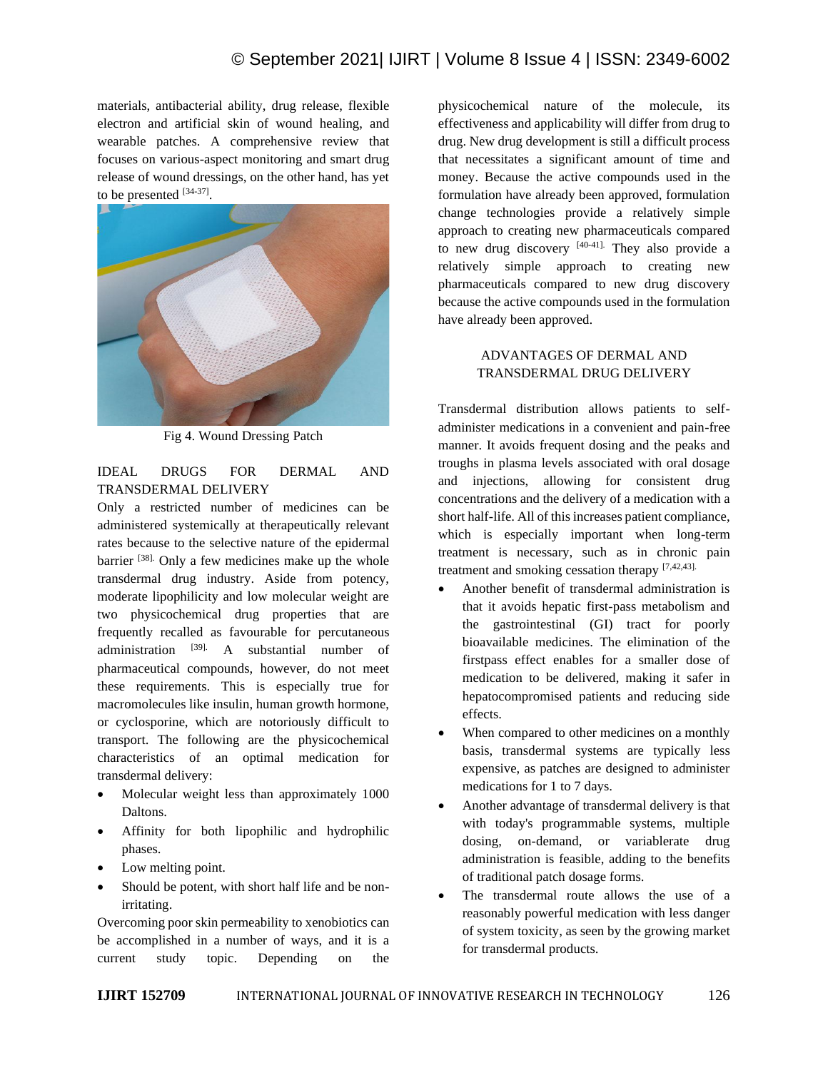materials, antibacterial ability, drug release, flexible electron and artificial skin of wound healing, and wearable patches. A comprehensive review that focuses on various-aspect monitoring and smart drug release of wound dressings, on the other hand, has yet to be presented  $[34-37]$ .



Fig 4. Wound Dressing Patch

# IDEAL DRUGS FOR DERMAL AND TRANSDERMAL DELIVERY

Only a restricted number of medicines can be administered systemically at therapeutically relevant rates because to the selective nature of the epidermal barrier [38]. Only a few medicines make up the whole transdermal drug industry. Aside from potency, moderate lipophilicity and low molecular weight are two physicochemical drug properties that are frequently recalled as favourable for percutaneous administration  $[39]$ . A substantial number of pharmaceutical compounds, however, do not meet these requirements. This is especially true for macromolecules like insulin, human growth hormone, or cyclosporine, which are notoriously difficult to transport. The following are the physicochemical characteristics of an optimal medication for transdermal delivery:

- Molecular weight less than approximately 1000 Daltons.
- Affinity for both lipophilic and hydrophilic phases.
- Low melting point.
- Should be potent, with short half life and be nonirritating.

Overcoming poor skin permeability to xenobiotics can be accomplished in a number of ways, and it is a current study topic. Depending on the

physicochemical nature of the molecule, its effectiveness and applicability will differ from drug to drug. New drug development is still a difficult process that necessitates a significant amount of time and money. Because the active compounds used in the formulation have already been approved, formulation change technologies provide a relatively simple approach to creating new pharmaceuticals compared to new drug discovery [40-41]. They also provide a relatively simple approach to creating new pharmaceuticals compared to new drug discovery because the active compounds used in the formulation have already been approved.

# ADVANTAGES OF DERMAL AND TRANSDERMAL DRUG DELIVERY

Transdermal distribution allows patients to selfadminister medications in a convenient and pain-free manner. It avoids frequent dosing and the peaks and troughs in plasma levels associated with oral dosage and injections, allowing for consistent drug concentrations and the delivery of a medication with a short half-life. All of this increases patient compliance, which is especially important when long-term treatment is necessary, such as in chronic pain treatment and smoking cessation therapy [7,42,43].

- Another benefit of transdermal administration is that it avoids hepatic first-pass metabolism and the gastrointestinal (GI) tract for poorly bioavailable medicines. The elimination of the firstpass effect enables for a smaller dose of medication to be delivered, making it safer in hepatocompromised patients and reducing side effects.
- When compared to other medicines on a monthly basis, transdermal systems are typically less expensive, as patches are designed to administer medications for 1 to 7 days.
- Another advantage of transdermal delivery is that with today's programmable systems, multiple dosing, on-demand, or variablerate drug administration is feasible, adding to the benefits of traditional patch dosage forms.
- The transdermal route allows the use of a reasonably powerful medication with less danger of system toxicity, as seen by the growing market for transdermal products.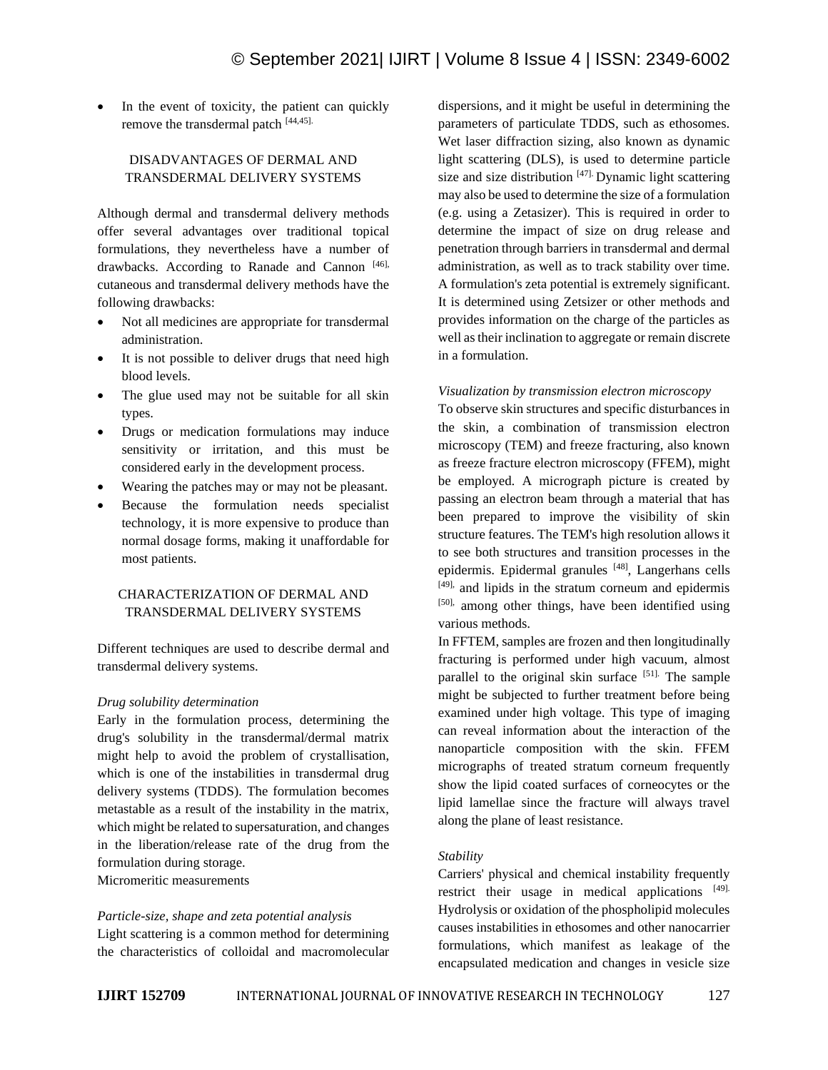In the event of toxicity, the patient can quickly remove the transdermal patch [44,45].

# DISADVANTAGES OF DERMAL AND TRANSDERMAL DELIVERY SYSTEMS

Although dermal and transdermal delivery methods offer several advantages over traditional topical formulations, they nevertheless have a number of drawbacks. According to Ranade and Cannon [46], cutaneous and transdermal delivery methods have the following drawbacks:

- Not all medicines are appropriate for transdermal administration.
- It is not possible to deliver drugs that need high blood levels.
- The glue used may not be suitable for all skin types.
- Drugs or medication formulations may induce sensitivity or irritation, and this must be considered early in the development process.
- Wearing the patches may or may not be pleasant.
- Because the formulation needs specialist technology, it is more expensive to produce than normal dosage forms, making it unaffordable for most patients.

# CHARACTERIZATION OF DERMAL AND TRANSDERMAL DELIVERY SYSTEMS

Different techniques are used to describe dermal and transdermal delivery systems.

# *Drug solubility determination*

Early in the formulation process, determining the drug's solubility in the transdermal/dermal matrix might help to avoid the problem of crystallisation, which is one of the instabilities in transdermal drug delivery systems (TDDS). The formulation becomes metastable as a result of the instability in the matrix, which might be related to supersaturation, and changes in the liberation/release rate of the drug from the formulation during storage. Micromeritic measurements

*Particle-size, shape and zeta potential analysis* Light scattering is a common method for determining the characteristics of colloidal and macromolecular dispersions, and it might be useful in determining the parameters of particulate TDDS, such as ethosomes. Wet laser diffraction sizing, also known as dynamic light scattering (DLS), is used to determine particle size and size distribution  $[47]$ . Dynamic light scattering may also be used to determine the size of a formulation (e.g. using a Zetasizer). This is required in order to determine the impact of size on drug release and penetration through barriers in transdermal and dermal administration, as well as to track stability over time. A formulation's zeta potential is extremely significant. It is determined using Zetsizer or other methods and provides information on the charge of the particles as well as their inclination to aggregate or remain discrete in a formulation.

# *Visualization by transmission electron microscopy*

To observe skin structures and specific disturbances in the skin, a combination of transmission electron microscopy (TEM) and freeze fracturing, also known as freeze fracture electron microscopy (FFEM), might be employed. A micrograph picture is created by passing an electron beam through a material that has been prepared to improve the visibility of skin structure features. The TEM's high resolution allows it to see both structures and transition processes in the epidermis. Epidermal granules [48], Langerhans cells [49], and lipids in the stratum corneum and epidermis [50], among other things, have been identified using various methods.

In FFTEM, samples are frozen and then longitudinally fracturing is performed under high vacuum, almost parallel to the original skin surface [51]. The sample might be subjected to further treatment before being examined under high voltage. This type of imaging can reveal information about the interaction of the nanoparticle composition with the skin. FFEM micrographs of treated stratum corneum frequently show the lipid coated surfaces of corneocytes or the lipid lamellae since the fracture will always travel along the plane of least resistance.

# *Stability*

Carriers' physical and chemical instability frequently restrict their usage in medical applications [49]. Hydrolysis or oxidation of the phospholipid molecules causes instabilities in ethosomes and other nanocarrier formulations, which manifest as leakage of the encapsulated medication and changes in vesicle size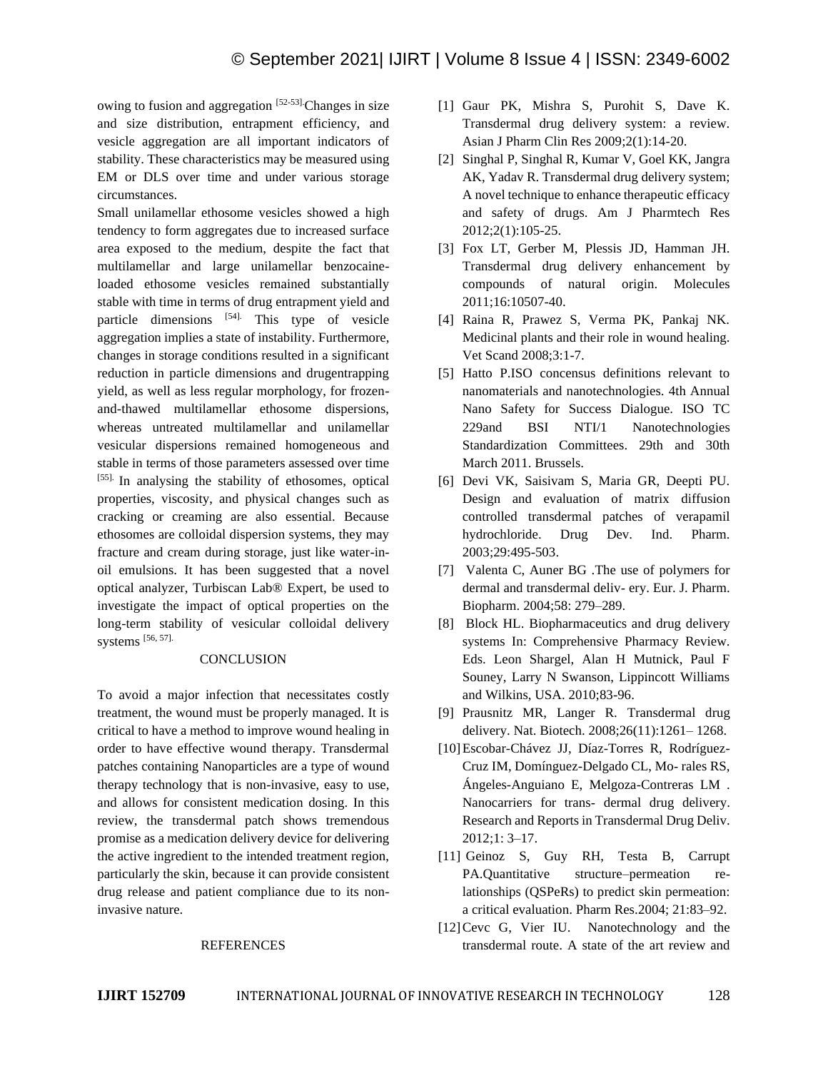owing to fusion and aggregation [52-53]. Changes in size and size distribution, entrapment efficiency, and vesicle aggregation are all important indicators of stability. These characteristics may be measured using EM or DLS over time and under various storage circumstances.

Small unilamellar ethosome vesicles showed a high tendency to form aggregates due to increased surface area exposed to the medium, despite the fact that multilamellar and large unilamellar benzocaineloaded ethosome vesicles remained substantially stable with time in terms of drug entrapment yield and particle dimensions [54]. This type of vesicle aggregation implies a state of instability. Furthermore, changes in storage conditions resulted in a significant reduction in particle dimensions and drugentrapping yield, as well as less regular morphology, for frozenand-thawed multilamellar ethosome dispersions, whereas untreated multilamellar and unilamellar vesicular dispersions remained homogeneous and stable in terms of those parameters assessed over time [55]. In analysing the stability of ethosomes, optical properties, viscosity, and physical changes such as cracking or creaming are also essential. Because ethosomes are colloidal dispersion systems, they may fracture and cream during storage, just like water-inoil emulsions. It has been suggested that a novel optical analyzer, Turbiscan Lab® Expert, be used to investigate the impact of optical properties on the long-term stability of vesicular colloidal delivery systems [56, 57].

#### **CONCLUSION**

To avoid a major infection that necessitates costly treatment, the wound must be properly managed. It is critical to have a method to improve wound healing in order to have effective wound therapy. Transdermal patches containing Nanoparticles are a type of wound therapy technology that is non-invasive, easy to use, and allows for consistent medication dosing. In this review, the transdermal patch shows tremendous promise as a medication delivery device for delivering the active ingredient to the intended treatment region, particularly the skin, because it can provide consistent drug release and patient compliance due to its noninvasive nature.

#### REFERENCES

- [1] Gaur PK, Mishra S, Purohit S, Dave K. Transdermal drug delivery system: a review. Asian J Pharm Clin Res 2009;2(1):14-20.
- [2] Singhal P, Singhal R, Kumar V, Goel KK, Jangra AK, Yadav R. Transdermal drug delivery system; A novel technique to enhance therapeutic efficacy and safety of drugs. Am J Pharmtech Res 2012;2(1):105-25.
- [3] Fox LT, Gerber M, Plessis JD, Hamman JH. Transdermal drug delivery enhancement by compounds of natural origin. Molecules 2011;16:10507-40.
- [4] Raina R, Prawez S, Verma PK, Pankaj NK. Medicinal plants and their role in wound healing. Vet Scand 2008;3:1-7.
- [5] Hatto P.ISO concensus definitions relevant to nanomaterials and nanotechnologies. 4th Annual Nano Safety for Success Dialogue. ISO TC 229and BSI NTI/1 Nanotechnologies Standardization Committees. 29th and 30th March 2011. Brussels.
- [6] Devi VK, Saisivam S, Maria GR, Deepti PU. Design and evaluation of matrix diffusion controlled transdermal patches of verapamil hydrochloride. Drug Dev. Ind. Pharm. 2003;29:495-503.
- [7] Valenta C, Auner BG .The use of polymers for dermal and transdermal deliv‐ ery. Eur. J. Pharm. Biopharm. 2004;58: 279–289.
- [8] Block HL. Biopharmaceutics and drug delivery systems In: Comprehensive Pharmacy Review. Eds. Leon Shargel, Alan H Mutnick, Paul F Souney, Larry N Swanson, Lippincott Williams and Wilkins, USA. 2010;83-96.
- [9] Prausnitz MR, Langer R. Transdermal drug delivery. Nat. Biotech. 2008;26(11):1261– 1268.
- [10]Escobar-Chávez JJ, Díaz-Torres R, Rodríguez-Cruz IM, Domínguez-Delgado CL, Mo‐ rales RS, Ángeles-Anguiano E, Melgoza-Contreras LM . Nanocarriers for trans‐ dermal drug delivery. Research and Reports in Transdermal Drug Deliv. 2012;1: 3–17.
- [11] Geinoz S, Guy RH, Testa B, Carrupt PA.Quantitative structure–permeation relationships (QSPeRs) to predict skin permeation: a critical evaluation. Pharm Res.2004; 21:83–92.
- [12] Cevc G, Vier IU. Nanotechnology and the transdermal route. A state of the art review and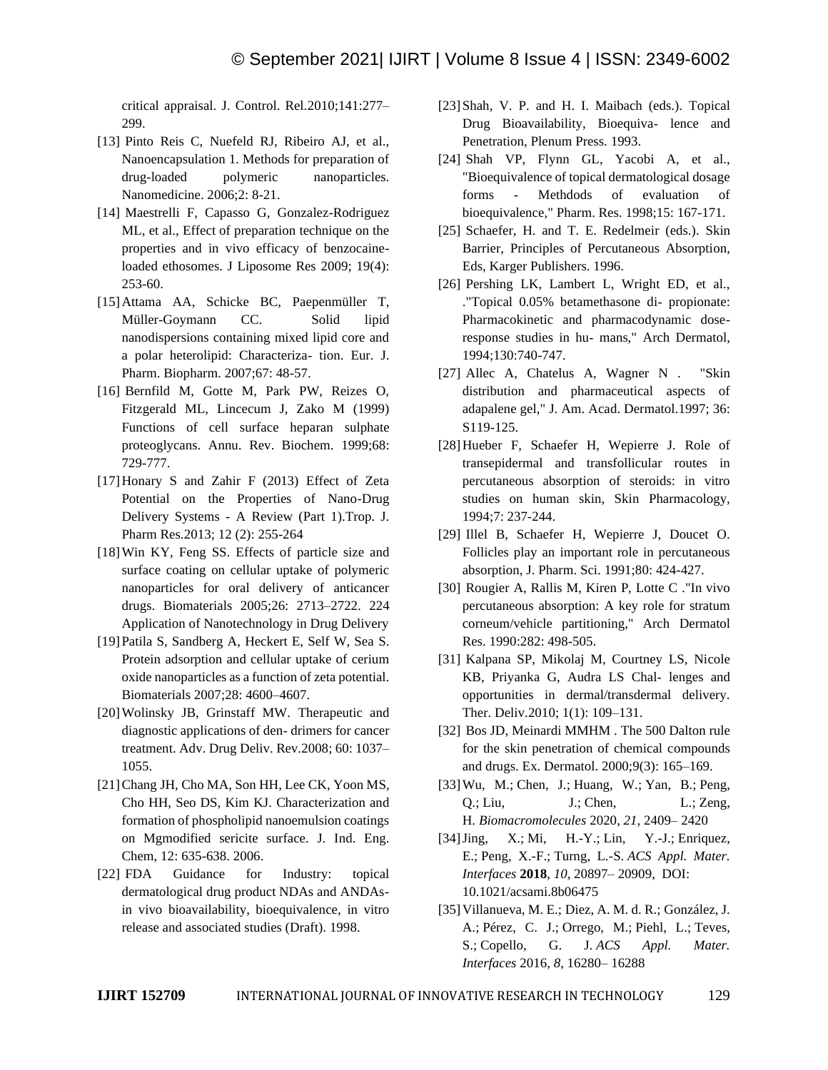critical appraisal. J. Control. Rel.2010;141:277– 299.

- [13] Pinto Reis C, Nuefeld RJ, Ribeiro AJ, et al., Nanoencapsulation 1. Methods for preparation of drug-loaded polymeric nanoparticles. Nanomedicine. 2006;2: 8-21.
- [14] Maestrelli F, Capasso G, Gonzalez-Rodriguez ML, et al., Effect of preparation technique on the properties and in vivo efficacy of benzocaineloaded ethosomes. J Liposome Res 2009; 19(4): 253-60.
- [15]Attama AA, Schicke BC, Paepenmüller T, Müller-Goymann CC. Solid lipid nanodispersions containing mixed lipid core and a polar heterolipid: Characteriza‐ tion. Eur. J. Pharm. Biopharm. 2007;67: 48-57.
- [16] Bernfild M, Gotte M, Park PW, Reizes O, Fitzgerald ML, Lincecum J, Zako M (1999) Functions of cell surface heparan sulphate proteoglycans. Annu. Rev. Biochem. 1999;68: 729-777.
- [17]Honary S and Zahir F (2013) Effect of Zeta Potential on the Properties of Nano-Drug Delivery Systems - A Review (Part 1).Trop. J. Pharm Res.2013; 12 (2): 255-264
- [18] Win KY, Feng SS. Effects of particle size and surface coating on cellular uptake of polymeric nanoparticles for oral delivery of anticancer drugs. Biomaterials 2005;26: 2713–2722. 224 Application of Nanotechnology in Drug Delivery
- [19]Patila S, Sandberg A, Heckert E, Self W, Sea S. Protein adsorption and cellular uptake of cerium oxide nanoparticles as a function of zeta potential. Biomaterials 2007;28: 4600–4607.
- [20]Wolinsky JB, Grinstaff MW. Therapeutic and diagnostic applications of den‐ drimers for cancer treatment. Adv. Drug Deliv. Rev.2008; 60: 1037– 1055.
- [21]Chang JH, Cho MA, Son HH, Lee CK, Yoon MS, Cho HH, Seo DS, Kim KJ. Characterization and formation of phospholipid nanoemulsion coatings on Mgmodified sericite surface. J. Ind. Eng. Chem, 12: 635-638. 2006.
- [22] FDA Guidance for Industry: topical dermatological drug product NDAs and ANDAsin vivo bioavailability, bioequivalence, in vitro release and associated studies (Draft). 1998.
- [23] Shah, V. P. and H. I. Maibach (eds.). Topical Drug Bioavailability, Bioequiva- lence and Penetration, Plenum Press. 1993.
- [24] Shah VP, Flynn GL, Yacobi A, et al., "Bioequivalence of topical dermatological dosage forms - Methdods of evaluation of bioequivalence," Pharm. Res. 1998;15: 167-171.
- [25] Schaefer, H. and T. E. Redelmeir (eds.). Skin Barrier, Principles of Percutaneous Absorption, Eds, Karger Publishers. 1996.
- [26] Pershing LK, Lambert L, Wright ED, et al., ."Topical 0.05% betamethasone di‐ propionate: Pharmacokinetic and pharmacodynamic doseresponse studies in hu‐ mans," Arch Dermatol, 1994;130:740-747.
- [27] Allec A, Chatelus A, Wagner N . "Skin distribution and pharmaceutical aspects of adapalene gel," J. Am. Acad. Dermatol.1997; 36: S119-125.
- [28]Hueber F, Schaefer H, Wepierre J. Role of transepidermal and transfollicular routes in percutaneous absorption of steroids: in vitro studies on human skin, Skin Pharmacology, 1994;7: 237-244.
- [29] Illel B, Schaefer H, Wepierre J, Doucet O. Follicles play an important role in percutaneous absorption, J. Pharm. Sci. 1991;80: 424-427.
- [30] Rougier A, Rallis M, Kiren P, Lotte C ."In vivo percutaneous absorption: A key role for stratum corneum/vehicle partitioning," Arch Dermatol Res. 1990:282: 498-505.
- [31] Kalpana SP, Mikolaj M, Courtney LS, Nicole KB, Priyanka G, Audra LS Chal‐ lenges and opportunities in dermal/transdermal delivery. Ther. Deliv.2010; 1(1): 109–131.
- [32] Bos JD, Meinardi MMHM. The 500 Dalton rule for the skin penetration of chemical compounds and drugs. Ex. Dermatol. 2000;9(3): 165–169.
- [33]Wu, M.; Chen, J.; Huang, W.; Yan, B.; Peng, Q.; Liu, J.; Chen, L.; Zeng, H. *Biomacromolecules* 2020, *21*, 2409– 2420
- [34]Jing, X.; Mi, H.-Y.; Lin, Y.-J.; Enriquez, E.; Peng, X.-F.; Turng, L.-S. *ACS Appl. Mater. Interfaces* **2018**, *10*, 20897– 20909, DOI: 10.1021/acsami.8b06475
- [35]Villanueva, M. E.; Diez, A. M. d. R.; González, J. A.; Pérez, C. J.; Orrego, M.; Piehl, L.; Teves, S.; Copello, G. J. *ACS Appl. Mater. Interfaces* 2016, *8*, 16280– 16288